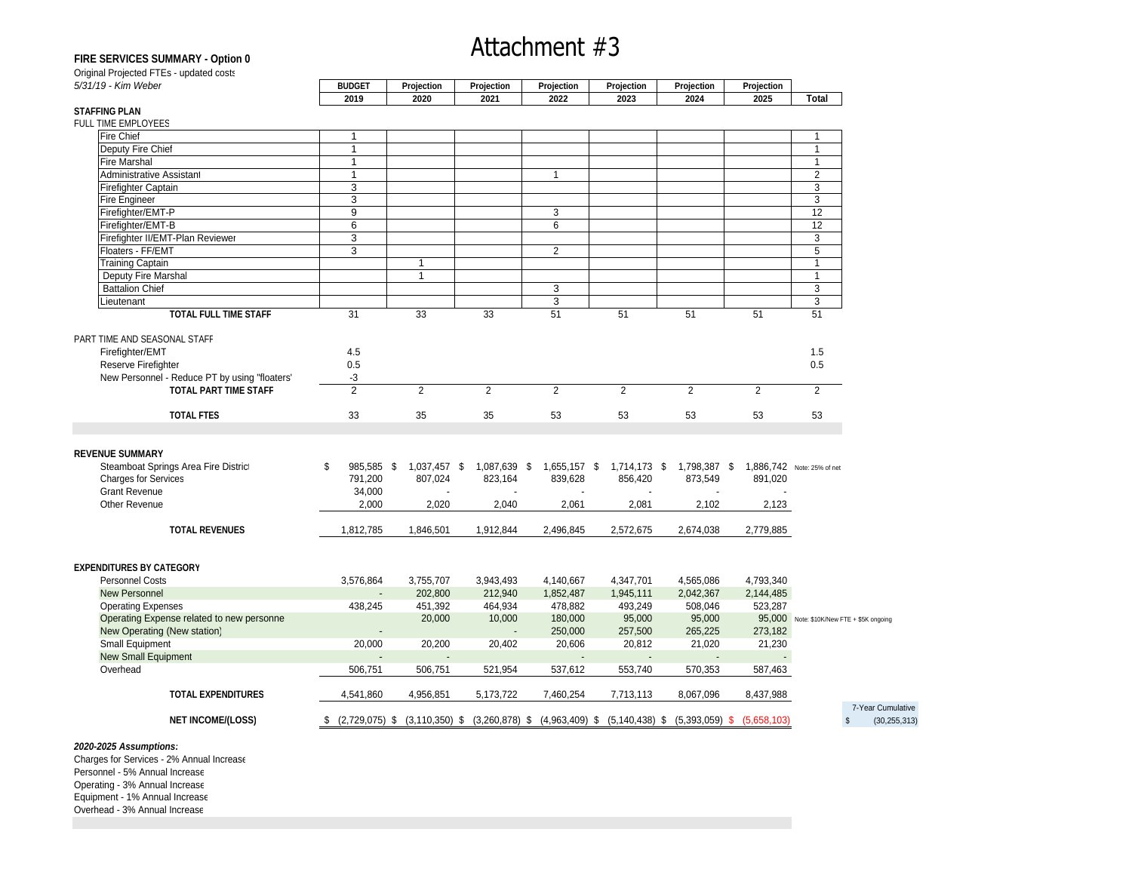## Attachment #3

### **FIRE SERVICES SUMMARY - Option 0**

| 5/31/19 - Kim Weber                                        | <b>RUDGE</b> | Projection | Projection | <b>Projection</b> | Projection | Projection |       |
|------------------------------------------------------------|--------------|------------|------------|-------------------|------------|------------|-------|
|                                                            | י ויה כי     | 2021       |            | כפחפ              | 0.024      | 2025       | Total |
|                                                            |              |            |            |                   |            |            |       |
| S <mark>TAFFING PLAN</mark><br>FULL T <u>IME EMPLOYEES</u> |              |            |            |                   |            |            |       |
| Hire Chie.                                                 |              |            |            |                   |            |            |       |
| Deputy Fire Chie.                                          |              |            |            |                   |            |            |       |

# **EXERCISE SURGERY - CHORAL CHORAL CHOICE IS A SECOND TO A SECOND TRANSPORT OF A SECOND TRANSPORT OF A SECOND TRANSPORT OF A SECOND TRANSPORT OF A SECOND TRANSPORT OF A SECOND TRANSPORT OF A SECOND TRANSPORT OF A SECOND TR** Fire Marshal 1 1 Administrative Assistant 1 1 2 Firefighter Captain 3 3 Fire Engineer 3 3 Firefighter/EMT-P 9 3 12 Firefighter/EMT-B 6 6 12 Firefighter II/EMT-Plan Reviewer 3 3 Floaters - FF/EMT 3 2 5 Training Captain 1 1 Deputy Fire Marshal 1 1 Battalion Chief **Chief Chief Chief Chief Chief Chief Chief Chief Chief Chief Chief Chief Chief Chief Chief Chief Chief Chief Chief Chief Chief Chief Chief Chief Chief Chief Chief Chief Chief Chief Chief Chief Chief Chief C** Lieutenant 3 3 **TOTAL FULL TIME STAFF** 31 33 33 51 51 51 51 51 51 51 51 PART TIME AND SEASONAL STAFF Firefighter/EMT 4.5 1.5  $\blacksquare$ Reserve Firefighter  $0.5$   $0.5$ New Personnel - Reduce PT by using "floaters' -3 **TOTAL PART TIME STAFF** 2 2 2 2 2 2 2 2 **TOTAL FTES** 33 35 35 53 53 53 53 53 **REVENUE SUMMARY** Steamboat Springs Area Fire District \$ 985,585 \$ 1,037,457 \$ 1,087,639 \$ 1,655,157 \$ 1,714,173 \$ 1,798,387 \$ 1,886,742 Note: 25% of net Charges for Services 791,200 807,024 823,164 839,628 856,420 873,549 891,020 Grant Revenue 34,000 - - - - - - Other Revenue 2,000 2,020 2,040 2,061 2,081 2,102 2,123 **TOTAL REVENUES** 1,812,785 1,846,501 1,912,844 2,496,845 2,572,675 2,674,038 2,779,885 **EXPENDITURES BY CATEGORY** Personnel Costs 3,576,864 3,755,707 3,943,493 4,140,667 4,347,701 4,565,086 4,793,340 New Personnel - 202,800 212,940 1,852,487 1,945,111 2,042,367 2,144,485 Operating Expenses 438,245 451,392 464,934 478,882 493,249 508,046 523,287 Operating Expense related to new personnel 20,000 10,000 180,000 95,000 95,000 95,000 Note: \$10K/New FTE + \$5K ongoing New Operating (New station) - - 250,000 257,500 265,225 273,182 Small Equipment 20,000 20,200 20,402 20,606 20,812 21,020 21,230 New Small Equipment - - - - - - Overhead 506,751 506,751 521,954 537,612 553,740 570,353 587,463 **TOTAL EXPENDITURES** 4,541,860 4,956,851 5,173,722 7,460,254 7,713,113 8,067,096 8,437,988 7-Year Cumulative **NET INCOME/(LOSS)** \$ (2,729,075) \$ (3,110,350) \$ (3,260,878) \$ (4,963,409) \$ (5,140,438) \$ (5,393,059) \$ (5,658,103) \$ (30,255,313)

#### **2020-2025 Assumptions:**

Charges for Services - 2% Annual Increase Personnel - 5% Annual Increase Operating - 3% Annual Increase Equipment - 1% Annual Increase Overhead - 3% Annual Increase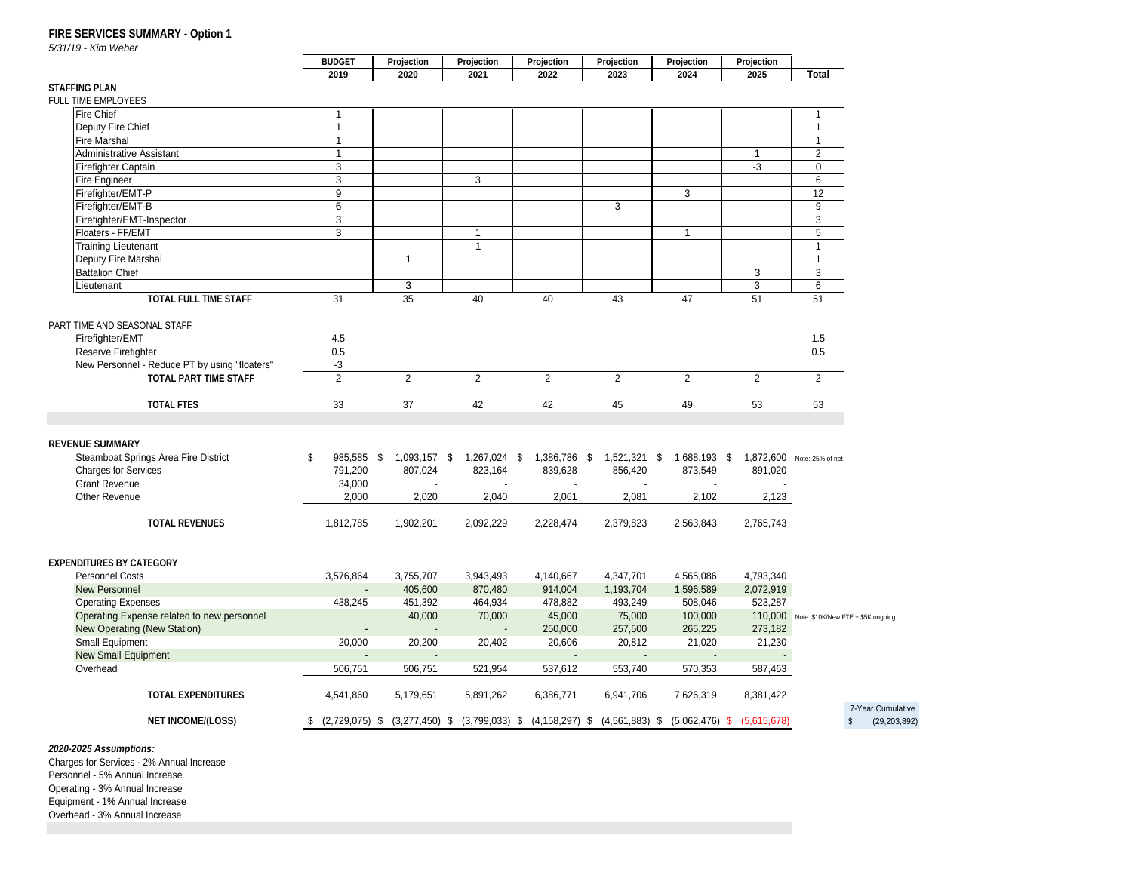## **FIRE SERVICES SUMMARY - Option 1**<br>5/31/19 - Kim Weber

5/31/19 - Kim Weber

#### **STAFFING PLAN**

| FULL TIME EMPLOYEES                           |                         |                         |                                                                                                          |                          |                                        |                               |                                         |                                            |
|-----------------------------------------------|-------------------------|-------------------------|----------------------------------------------------------------------------------------------------------|--------------------------|----------------------------------------|-------------------------------|-----------------------------------------|--------------------------------------------|
| <b>Fire Chief</b>                             | $\overline{1}$          |                         |                                                                                                          |                          |                                        |                               |                                         |                                            |
| Deputy Fire Chief                             | $\overline{1}$          |                         |                                                                                                          |                          |                                        |                               |                                         | $\overline{1}$                             |
| <b>Fire Marshal</b>                           | $\overline{1}$          |                         |                                                                                                          |                          |                                        |                               |                                         | $\overline{1}$                             |
| Administrative Assistant                      | $\overline{1}$          |                         |                                                                                                          |                          |                                        |                               | -1                                      | $\overline{\phantom{a}}$ 2                 |
|                                               | $\overline{\mathbf{3}}$ |                         |                                                                                                          |                          |                                        |                               | $-3$                                    | $\overline{0}$                             |
| Firefighter Captain<br>Fire Engineer          | - 3                     |                         | 3                                                                                                        |                          |                                        |                               |                                         | 6                                          |
| Firefighter/EMT-P                             | 9                       |                         |                                                                                                          |                          |                                        | $\overline{\mathbf{3}}$       |                                         | 12                                         |
| Firefighter/EMT-B                             | $6\overline{6}$         |                         |                                                                                                          |                          | $\overline{\mathbf{3}}$                |                               |                                         | 9                                          |
| Firefighter/EMT-Inspector                     | $\sim$ 3                |                         |                                                                                                          |                          |                                        |                               |                                         | - 3                                        |
| Floaters - FF/EMT                             | $\overline{\mathbf{3}}$ |                         | $\overline{1}$                                                                                           |                          |                                        | $\overline{1}$                |                                         | 5 <sup>5</sup>                             |
|                                               |                         |                         | $\blacksquare$ 1                                                                                         |                          |                                        |                               |                                         | $\overline{1}$                             |
| <b>Training Lieutenant</b>                    |                         |                         |                                                                                                          |                          |                                        |                               |                                         |                                            |
| Deputy Fire Marshal<br>Battalion Chief        |                         | $\overline{1}$          |                                                                                                          |                          |                                        |                               |                                         | $\overline{1}$                             |
|                                               |                         |                         |                                                                                                          |                          |                                        |                               | $\overline{\mathbf{3}}$                 | $\begin{array}{ccc} \end{array}$ 3         |
| Lieutenant                                    |                         | $\mathbf{R}$            |                                                                                                          |                          |                                        |                               | $\mathbf{3}$                            | 6 <sup>6</sup>                             |
| <b>TOTAL FULL TIME STAFF</b>                  | -31-                    | 35                      | 40                                                                                                       | -40                      | -43                                    | 47                            | 51                                      | 51                                         |
|                                               |                         |                         |                                                                                                          |                          |                                        |                               |                                         |                                            |
| PART TIME AND SEASONAL STAFF                  |                         |                         |                                                                                                          |                          |                                        |                               |                                         |                                            |
| Firefighter/EMT                               | 4.5                     |                         |                                                                                                          |                          |                                        |                               |                                         | 1.5                                        |
| Reserve Firefighter                           | $0.5\,$                 |                         |                                                                                                          |                          |                                        |                               |                                         | 0.5                                        |
| New Personnel - Reduce PT by using "floaters" |                         |                         |                                                                                                          |                          |                                        |                               |                                         |                                            |
| TOTAL PART TIME STAFF                         |                         |                         |                                                                                                          |                          |                                        |                               |                                         |                                            |
|                                               |                         |                         |                                                                                                          |                          |                                        |                               |                                         |                                            |
| <b>TOTAL FTES</b>                             | 33                      | 37                      | 42                                                                                                       | 42                       | 45                                     | 49                            | 53                                      | 53                                         |
|                                               |                         |                         |                                                                                                          |                          |                                        |                               |                                         |                                            |
|                                               |                         |                         |                                                                                                          |                          |                                        |                               |                                         |                                            |
| <b>REVENUE SUMMARY</b>                        |                         |                         |                                                                                                          |                          |                                        |                               |                                         |                                            |
| Steamboat Springs Area Fire District          |                         | 985,585 \$ 1,093,157 \$ |                                                                                                          |                          | 1,267,024 \$ 1,386,786 \$ 1,521,321 \$ |                               | 1,688,193 \$ 1,872,600 Note: 25% of net |                                            |
| <b>Charges for Services</b>                   | 791,200                 | 807,024                 | 823,164                                                                                                  | 839,628                  | 856,420                                | 873,549                       | 891,020                                 |                                            |
| <b>Grant Revenue</b>                          | 34,000                  | $\sim$                  |                                                                                                          | $\overline{\phantom{a}}$ |                                        | $\sim$                        | $\sim$                                  |                                            |
| Other Revenue                                 | 2.000                   | 2,020                   | 2.040                                                                                                    | 2.061                    | 2,081                                  | 2,102                         | 2,123                                   |                                            |
|                                               |                         |                         |                                                                                                          |                          |                                        |                               |                                         |                                            |
| <b>TOTAL REVENUES</b>                         | 1,812,785               | 1,902,201               |                                                                                                          |                          | 2,092,229 2,228,474 2,379,823          | 2,563,843 2,765,743           |                                         |                                            |
|                                               |                         |                         |                                                                                                          |                          |                                        |                               |                                         |                                            |
|                                               |                         |                         |                                                                                                          |                          |                                        |                               |                                         |                                            |
| <b>EXPENDITURES BY CATEGORY</b>               |                         |                         |                                                                                                          |                          |                                        |                               |                                         |                                            |
| <b>Personnel Costs</b>                        | 3,576,864               | 3,755,707               | 3,943,493                                                                                                | 4,140,667                | 4,347,701                              | 4,565,086                     | 4,793,340                               |                                            |
| <b>New Personnel</b>                          | $\sim 100$              | 405,600                 | 870,480                                                                                                  | 914,004                  | 1,193,704                              | 1,596,589                     | 2,072,919                               |                                            |
|                                               |                         |                         |                                                                                                          |                          |                                        |                               | 523,287                                 |                                            |
| <b>Operating Expenses</b>                     | 438,245                 | 451,392                 | 464,934                                                                                                  | 478,882                  | 493,249                                | 508,046                       |                                         |                                            |
| Operating Expense related to new personnel    |                         | 40,000                  | 70,000                                                                                                   | 45,000                   | 75,000                                 | 100,000                       |                                         | 110,000 Note: \$10K/New FTE + \$5K ongoing |
| <b>New Operating (New Station)</b>            | <b>Common</b>           | $\sim$ 10 $\sim$        | $\sim 100$                                                                                               | 250,000                  | 257,500                                | 265,225                       | 273,182                                 |                                            |
| Small Equipment                               | 20,000                  | 20,200                  | 20,402                                                                                                   | 20,606                   | 20,812                                 | 21,020                        | 21,230                                  |                                            |
| New Small Equipment                           | <b>Contract</b>         |                         |                                                                                                          | $\sim$ $\sim$            |                                        |                               |                                         |                                            |
| Overhead                                      | 506,751                 | 506.751                 | 521,954                                                                                                  | 537,612                  | 553,740                                | 570,353                       | 587,463                                 |                                            |
|                                               |                         |                         |                                                                                                          |                          |                                        |                               |                                         |                                            |
| <b>TOTAL EXPENDITURES</b>                     | 4,541,860               | 5,179,651               | 5,891,262 6,386,771                                                                                      |                          |                                        | 6,941,706 7,626,319 8,381,422 |                                         |                                            |
|                                               |                         |                         |                                                                                                          |                          |                                        |                               |                                         | 7-Year Cumulative                          |
| <b>NET INCOME/(LOSS)</b>                      |                         |                         | \$ (2,729,075) \$ (3,277,450) \$ (3,799,033) \$ (4,158,297) \$ (4,561,883) \$ (5,062,476) \$ (5,615,678) |                          |                                        |                               |                                         | \$ (29,203,892)                            |
|                                               |                         |                         |                                                                                                          |                          |                                        |                               |                                         |                                            |
|                                               |                         |                         |                                                                                                          |                          |                                        |                               |                                         |                                            |

**2020-2025 Assumptions:** Charges for Services - 2% Annual Increase Personnel - 5% Annual Increase Operating - 3% Annual Increase Equipment - 1% Annual Increase Overhead - 3% Annual Increase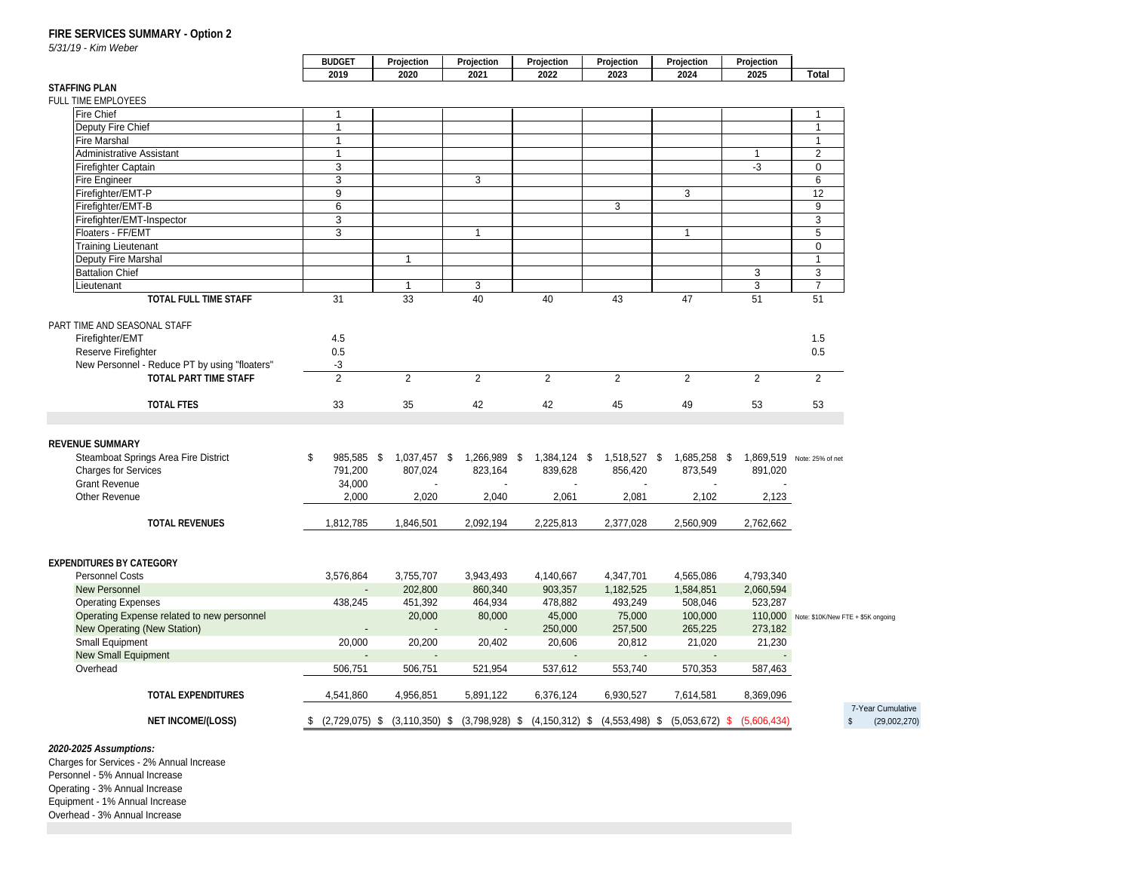## **FIRE SERVICES SUMMARY - Option 2**<br>5/31/19 - Kim Weber

5/31/19 - Kim Weber

#### **STAFFING PLAN**

| FULL TIME EMPLOYEES                           |                         |                |                         |                                     |               |                                                                                                          |                  |                                            |
|-----------------------------------------------|-------------------------|----------------|-------------------------|-------------------------------------|---------------|----------------------------------------------------------------------------------------------------------|------------------|--------------------------------------------|
| <b>Fire Chief</b>                             | $\overline{1}$          |                |                         |                                     |               |                                                                                                          |                  | $\overline{1}$                             |
| Deputy Fire Chief                             | $\blacksquare$ 1        |                |                         |                                     |               |                                                                                                          |                  | $\overline{1}$                             |
| <b>Fire Marshal</b>                           | $\sim$ 1                |                |                         |                                     |               |                                                                                                          |                  | $\overline{1}$                             |
| Administrative Assistant                      | $\overline{1}$          |                |                         |                                     |               |                                                                                                          | $\overline{1}$   | $\overline{2}$                             |
|                                               |                         |                |                         |                                     |               |                                                                                                          |                  |                                            |
| Firefighter Captain                           | $\overline{\mathbf{3}}$ |                |                         |                                     |               |                                                                                                          | $-3$             | $\overline{\mathbf{0}}$                    |
| Fire Engineer                                 | $\overline{\mathbf{3}}$ |                | $\overline{\mathbf{3}}$ |                                     |               |                                                                                                          |                  | $6\overline{6}$                            |
| Firefighter/EMT-P<br>Firefighter/EMT-B        | 9                       |                |                         |                                     |               | $\overline{\mathbf{3}}$                                                                                  |                  | 12                                         |
|                                               | $6\overline{6}$         |                |                         |                                     | $\mathcal{R}$ |                                                                                                          |                  | 9                                          |
| Firefighter/EMT-Inspector                     | $\overline{\mathbf{3}}$ |                |                         |                                     |               |                                                                                                          |                  | $\overline{\mathbf{3}}$                    |
| Floaters - FF/EMT                             | $\overline{\mathbf{3}}$ |                | $\overline{1}$          |                                     |               | $\sim$ 1                                                                                                 |                  | 5 <sup>5</sup>                             |
| <b>Training Lieutenant</b>                    |                         |                |                         |                                     |               |                                                                                                          |                  | $\overline{\mathbf{0}}$                    |
| Deputy Fire Marshal                           |                         | $\overline{1}$ |                         |                                     |               |                                                                                                          |                  | $\overline{1}$                             |
| Battalion Chief                               |                         |                |                         |                                     |               |                                                                                                          | - 3              | $\overline{\mathbf{3}}$                    |
| Lieutenant                                    |                         |                |                         |                                     |               |                                                                                                          |                  | $\overline{7}$                             |
| TOTAL FULL TIME STAFF                         |                         | 33             |                         |                                     |               | 47                                                                                                       | 51               | 51                                         |
|                                               | -31                     |                | 40                      | - 40                                | 43            |                                                                                                          |                  |                                            |
| PART TIME AND SEASONAL STAFF                  |                         |                |                         |                                     |               |                                                                                                          |                  |                                            |
|                                               |                         |                |                         |                                     |               |                                                                                                          |                  |                                            |
| Firefighter/EMT                               | 4.5                     |                |                         |                                     |               |                                                                                                          |                  | 1.5                                        |
| Reserve Firefighter                           | $0.5\,$                 |                |                         |                                     |               |                                                                                                          |                  | $0.5\,$                                    |
| New Personnel - Reduce PT by using "floaters" | $-3$                    |                |                         |                                     |               |                                                                                                          |                  |                                            |
| TOTAL PART TIME STAFF                         | $\overline{2}$          |                |                         |                                     |               |                                                                                                          |                  | 2                                          |
|                                               |                         |                |                         |                                     |               |                                                                                                          |                  |                                            |
| <b>TOTAL FTES</b>                             | 33                      | 35             | 42                      | 42                                  | 45            | - 49                                                                                                     | 53               | 53                                         |
|                                               |                         |                |                         |                                     |               |                                                                                                          |                  |                                            |
|                                               |                         |                |                         |                                     |               |                                                                                                          |                  |                                            |
| <b>REVENUE SUMMARY</b>                        |                         |                |                         |                                     |               |                                                                                                          |                  |                                            |
| Steamboat Springs Area Fire District          | 985,585                 | 1.037.457      |                         | 1,266,989 \$ 1,384,124 \$ 1,518,527 |               | \$ 1,685,258 \$ 1,869,519 Note: 25% of net                                                               |                  |                                            |
| <b>Charges for Services</b>                   | 791,200                 | 807,024        | 823,164                 | 839,628                             | 856,420       | 873,549                                                                                                  | 891,020          |                                            |
| <b>Grant Revenue</b>                          | 34,000                  | $\sim$         |                         | $\sim$ $-$                          | $\sim$        | $\sim 100$                                                                                               | $\sim$ 100 $\pm$ |                                            |
| Other Revenue                                 | 2,000                   | 2,020          | 2,040                   | 2,061                               | 2,081         | 2,102                                                                                                    | 2,123            |                                            |
|                                               |                         |                |                         |                                     |               |                                                                                                          |                  |                                            |
| <b>TOTAL REVENUES</b>                         |                         |                |                         |                                     |               | 1,812,785  1,846,501  2,092,194  2,225,813  2,377,028  2,560,909  2,762,662                              |                  |                                            |
|                                               |                         |                |                         |                                     |               |                                                                                                          |                  |                                            |
|                                               |                         |                |                         |                                     |               |                                                                                                          |                  |                                            |
|                                               |                         |                |                         |                                     |               |                                                                                                          |                  |                                            |
| <b>EXPENDITURES BY CATEGORY</b>               |                         |                |                         |                                     |               |                                                                                                          |                  |                                            |
| <b>Personnel Costs</b>                        | 3,576,864               | 3,755,707      | 3,943,493               | 4,140,667                           | 4,347,701     | 4,565,086                                                                                                | 4,793,340        |                                            |
| <b>New Personnel</b>                          | $\sim 10^{-10}$         | 202,800        | 860,340                 | 903,357                             | 1,182,525     | 1,584,851                                                                                                | 2,060,594        |                                            |
| <b>Operating Expenses</b>                     | 438,245                 | 451,392        | 464,934                 | 478,882                             | 493,249       | 508,046                                                                                                  | 523,287          |                                            |
| Operating Expense related to new personnel    |                         | 20,000         | 80,000                  | 45,000                              | 75,000        | 100,000                                                                                                  |                  | 110,000 Note: \$10K/New FTE + \$5K ongoing |
| New Operating (New Station)                   | <b>Contractor</b>       |                |                         | 250,000                             | 257,500       | 265,225                                                                                                  | 273,182          |                                            |
| <b>Small Equipment</b>                        | 20,000                  | 20,200         | 20,402                  | 20,606                              | 20,812        | 21,020                                                                                                   | 21,230           |                                            |
| <b>New Small Equipment</b>                    | $\sim$ 100 $\sim$       |                |                         | $\sim$ $-$                          |               |                                                                                                          |                  |                                            |
| Overhead                                      | 506,751                 | 506.751        | 521.954                 | 537,612                             | 553,740       | 570,353                                                                                                  | 587,463          |                                            |
|                                               |                         |                |                         |                                     |               |                                                                                                          |                  |                                            |
|                                               |                         |                |                         |                                     |               |                                                                                                          |                  |                                            |
| <b>TOTAL EXPENDITURES</b>                     | 4,541,860               | 4,956,851      | 5,891,122               | 6,376,124                           | 6,930,527     | 7,614,581                                                                                                | 8,369,096        |                                            |
|                                               |                         |                |                         |                                     |               |                                                                                                          |                  | 7-Year Cumulative                          |
| <b>NET INCOME/(LOSS)</b>                      |                         |                |                         |                                     |               | \$ (2,729,075) \$ (3,110,350) \$ (3,798,928) \$ (4,150,312) \$ (4,553,498) \$ (5,053,672) \$ (5,606,434) |                  | \$ (29,002,270)                            |
|                                               |                         |                |                         |                                     |               |                                                                                                          |                  |                                            |
|                                               |                         |                |                         |                                     |               |                                                                                                          |                  |                                            |

**2020-2025 Assumptions:** Charges for Services - 2% Annual Increase Personnel - 5% Annual Increase Operating - 3% Annual Increase Equipment - 1% Annual Increase Overhead - 3% Annual Increase